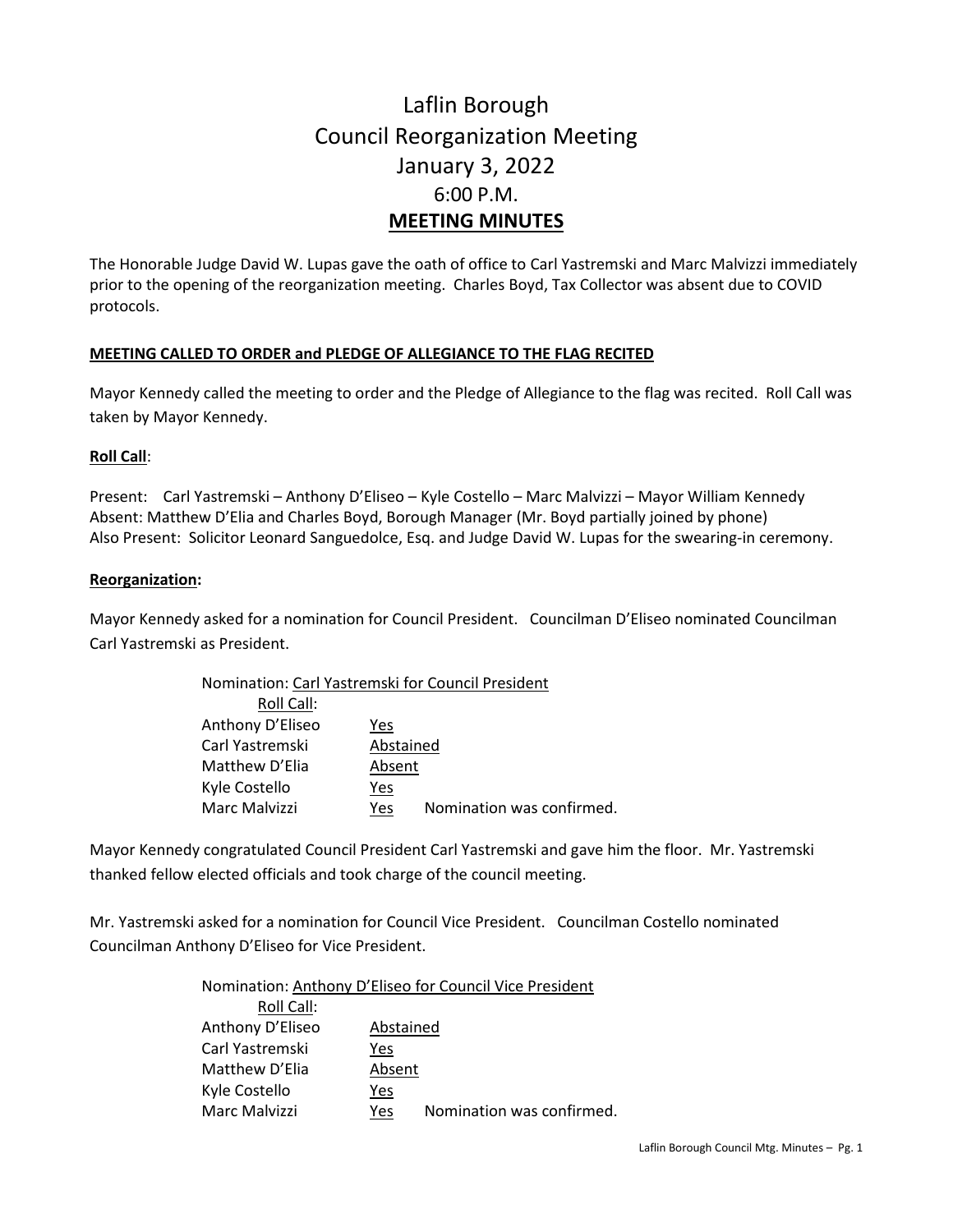# Laflin Borough Council Reorganization Meeting January 3, 2022 6:00 P.M. **MEETING MINUTES**

The Honorable Judge David W. Lupas gave the oath of office to Carl Yastremski and Marc Malvizzi immediately prior to the opening of the reorganization meeting. Charles Boyd, Tax Collector was absent due to COVID protocols.

#### **MEETING CALLED TO ORDER and PLEDGE OF ALLEGIANCE TO THE FLAG RECITED**

Mayor Kennedy called the meeting to order and the Pledge of Allegiance to the flag was recited. Roll Call was taken by Mayor Kennedy.

#### **Roll Call**:

Present: Carl Yastremski – Anthony D'Eliseo – Kyle Costello – Marc Malvizzi – Mayor William Kennedy Absent: Matthew D'Elia and Charles Boyd, Borough Manager (Mr. Boyd partially joined by phone) Also Present: Solicitor Leonard Sanguedolce, Esq. and Judge David W. Lupas for the swearing-in ceremony.

#### **Reorganization:**

Mayor Kennedy asked for a nomination for Council President. Councilman D'Eliseo nominated Councilman Carl Yastremski as President.

| Nomination: Carl Yastremski for Council President |           |                           |  |
|---------------------------------------------------|-----------|---------------------------|--|
| Roll Call:                                        |           |                           |  |
| Anthony D'Eliseo                                  | Yes       |                           |  |
| Carl Yastremski                                   | Abstained |                           |  |
| Matthew D'Elia                                    | Absent    |                           |  |
| Kyle Costello                                     | Yes       |                           |  |
| Marc Malvizzi                                     | Yes       | Nomination was confirmed. |  |

Mayor Kennedy congratulated Council President Carl Yastremski and gave him the floor. Mr. Yastremski thanked fellow elected officials and took charge of the council meeting.

Mr. Yastremski asked for a nomination for Council Vice President. Councilman Costello nominated Councilman Anthony D'Eliseo for Vice President.

> Nomination: Anthony D'Eliseo for Council Vice President Roll Call: Anthony D'Eliseo Abstained Carl Yastremski Yes Matthew D'Elia Absent Kyle Costello Yes Marc Malvizzi Yes Nomination was confirmed.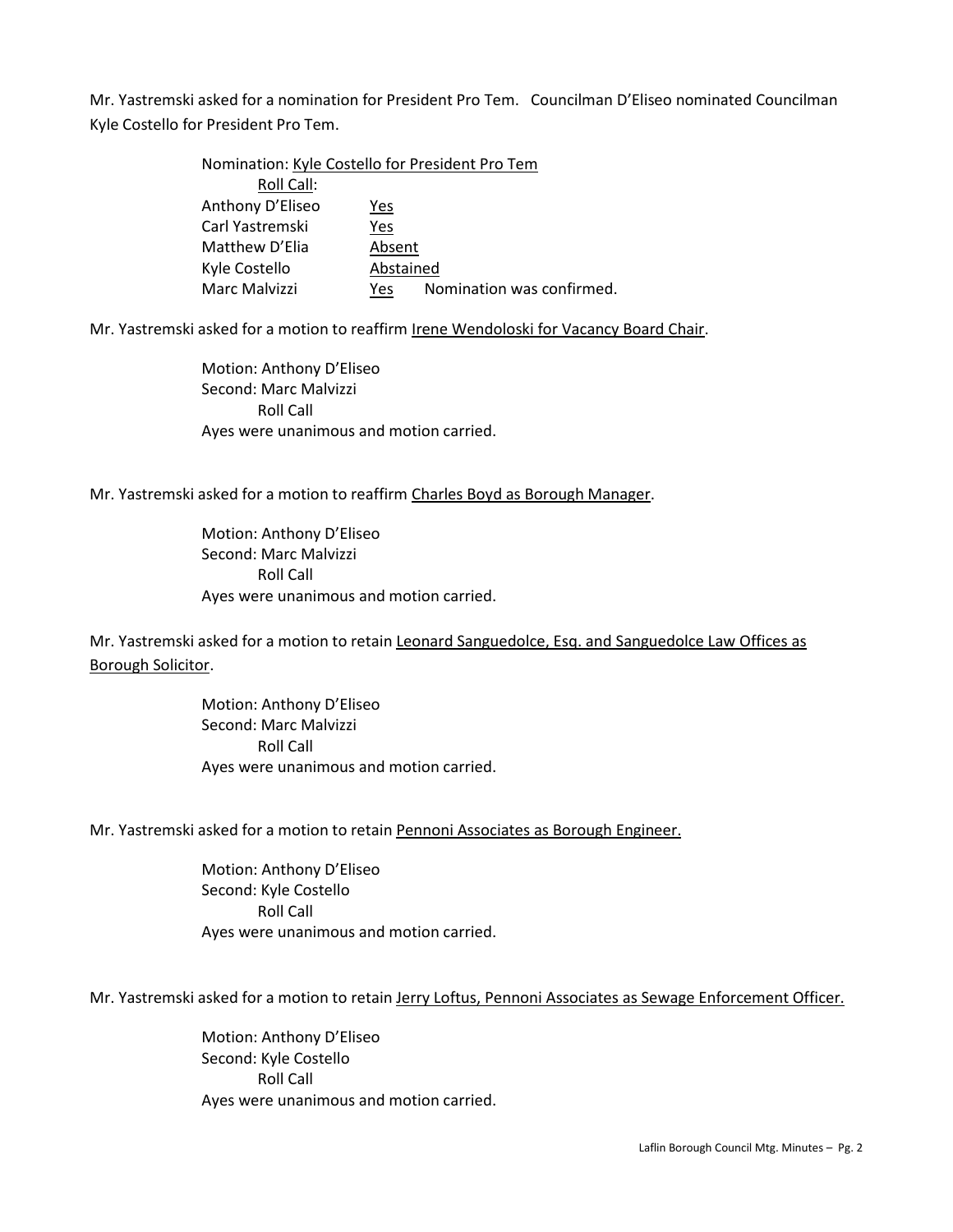Mr. Yastremski asked for a nomination for President Pro Tem. Councilman D'Eliseo nominated Councilman Kyle Costello for President Pro Tem.

| Nomination: Kyle Costello for President Pro Tem |           |                           |
|-------------------------------------------------|-----------|---------------------------|
| Roll Call:                                      |           |                           |
| Anthony D'Eliseo                                | Yes       |                           |
| Carl Yastremski                                 | Yes       |                           |
| Matthew D'Elia                                  | Absent    |                           |
| Kyle Costello                                   | Abstained |                           |
| Marc Malvizzi                                   | Yes       | Nomination was confirmed. |

Mr. Yastremski asked for a motion to reaffirm Irene Wendoloski for Vacancy Board Chair.

Motion: Anthony D'Eliseo Second: Marc Malvizzi Roll Call Ayes were unanimous and motion carried.

Mr. Yastremski asked for a motion to reaffirm Charles Boyd as Borough Manager.

Motion: Anthony D'Eliseo Second: Marc Malvizzi Roll Call Ayes were unanimous and motion carried.

Mr. Yastremski asked for a motion to retain Leonard Sanguedolce, Esq. and Sanguedolce Law Offices as Borough Solicitor.

> Motion: Anthony D'Eliseo Second: Marc Malvizzi Roll Call Ayes were unanimous and motion carried.

Mr. Yastremski asked for a motion to retain Pennoni Associates as Borough Engineer.

Motion: Anthony D'Eliseo Second: Kyle Costello Roll Call Ayes were unanimous and motion carried.

Mr. Yastremski asked for a motion to retain Jerry Loftus, Pennoni Associates as Sewage Enforcement Officer.

Motion: Anthony D'Eliseo Second: Kyle Costello Roll Call Ayes were unanimous and motion carried.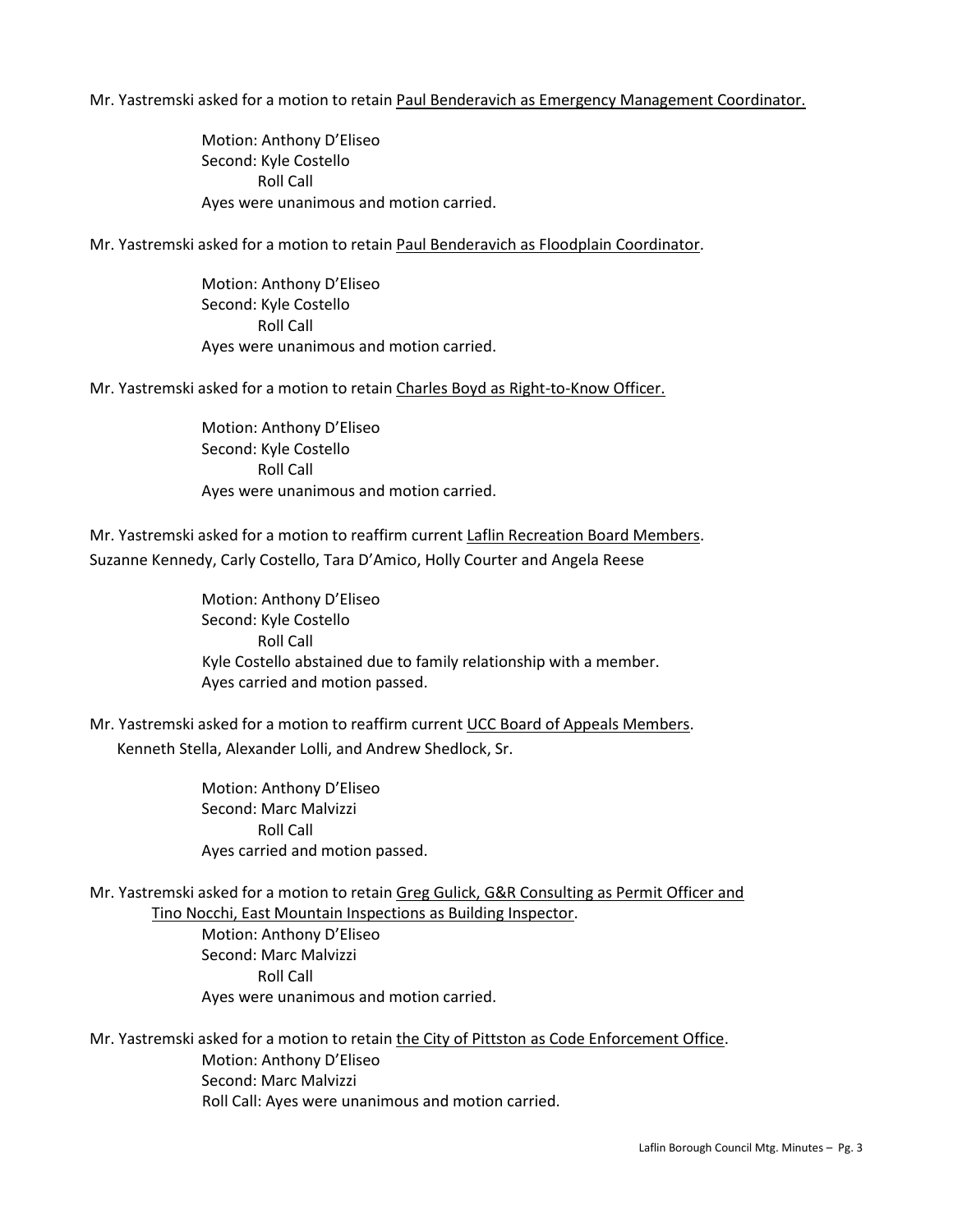Mr. Yastremski asked for a motion to retain Paul Benderavich as Emergency Management Coordinator.

Motion: Anthony D'Eliseo Second: Kyle Costello Roll Call Ayes were unanimous and motion carried.

Mr. Yastremski asked for a motion to retain Paul Benderavich as Floodplain Coordinator.

Motion: Anthony D'Eliseo Second: Kyle Costello Roll Call Ayes were unanimous and motion carried.

Mr. Yastremski asked for a motion to retain Charles Boyd as Right-to-Know Officer.

Motion: Anthony D'Eliseo Second: Kyle Costello Roll Call Ayes were unanimous and motion carried.

Mr. Yastremski asked for a motion to reaffirm current Laflin Recreation Board Members. Suzanne Kennedy, Carly Costello, Tara D'Amico, Holly Courter and Angela Reese

> Motion: Anthony D'Eliseo Second: Kyle Costello Roll Call Kyle Costello abstained due to family relationship with a member. Ayes carried and motion passed.

Mr. Yastremski asked for a motion to reaffirm current UCC Board of Appeals Members. Kenneth Stella, Alexander Lolli, and Andrew Shedlock, Sr.

> Motion: Anthony D'Eliseo Second: Marc Malvizzi Roll Call Ayes carried and motion passed.

Mr. Yastremski asked for a motion to retain Greg Gulick, G&R Consulting as Permit Officer and Tino Nocchi, East Mountain Inspections as Building Inspector.

> Motion: Anthony D'Eliseo Second: Marc Malvizzi Roll Call Ayes were unanimous and motion carried.

Mr. Yastremski asked for a motion to retain the City of Pittston as Code Enforcement Office. Motion: Anthony D'Eliseo Second: Marc Malvizzi Roll Call: Ayes were unanimous and motion carried.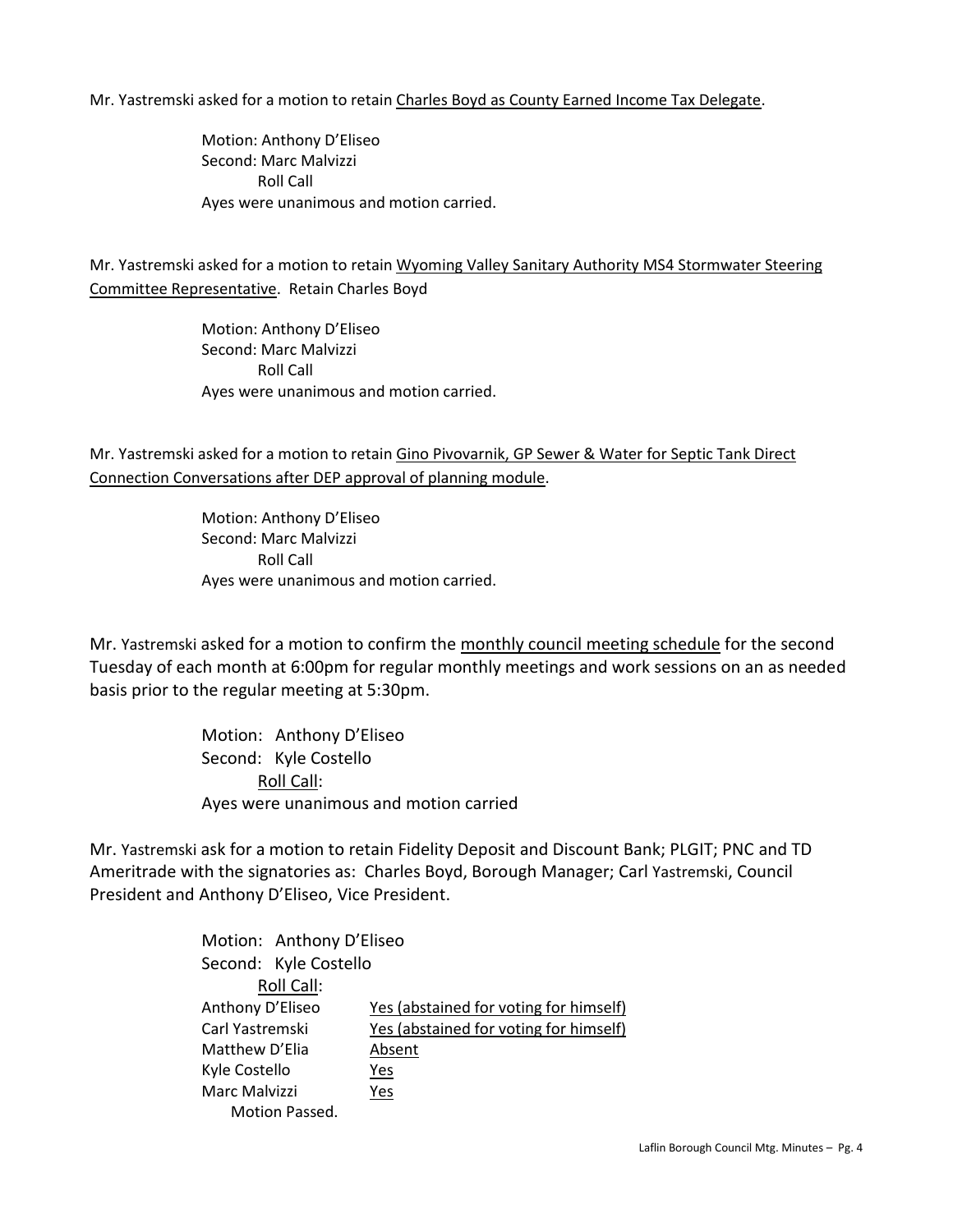Mr. Yastremski asked for a motion to retain Charles Boyd as County Earned Income Tax Delegate.

Motion: Anthony D'Eliseo Second: Marc Malvizzi Roll Call Ayes were unanimous and motion carried.

Mr. Yastremski asked for a motion to retain Wyoming Valley Sanitary Authority MS4 Stormwater Steering Committee Representative. Retain Charles Boyd

> Motion: Anthony D'Eliseo Second: Marc Malvizzi Roll Call Ayes were unanimous and motion carried.

Mr. Yastremski asked for a motion to retain Gino Pivovarnik, GP Sewer & Water for Septic Tank Direct Connection Conversations after DEP approval of planning module.

> Motion: Anthony D'Eliseo Second: Marc Malvizzi Roll Call Ayes were unanimous and motion carried.

Mr. Yastremski asked for a motion to confirm the monthly council meeting schedule for the second Tuesday of each month at 6:00pm for regular monthly meetings and work sessions on an as needed basis prior to the regular meeting at 5:30pm.

> Motion: Anthony D'Eliseo Second: Kyle Costello Roll Call: Ayes were unanimous and motion carried

Mr. Yastremski ask for a motion to retain Fidelity Deposit and Discount Bank; PLGIT; PNC and TD Ameritrade with the signatories as: Charles Boyd, Borough Manager; Carl Yastremski, Council President and Anthony D'Eliseo, Vice President.

> Motion: Anthony D'Eliseo Second: Kyle Costello Roll Call: Anthony D'Eliseo Yes (abstained for voting for himself) Carl Yastremski Yes (abstained for voting for himself) Matthew D'Elia Absent Kyle Costello Yes Marc Malvizzi Yes Motion Passed.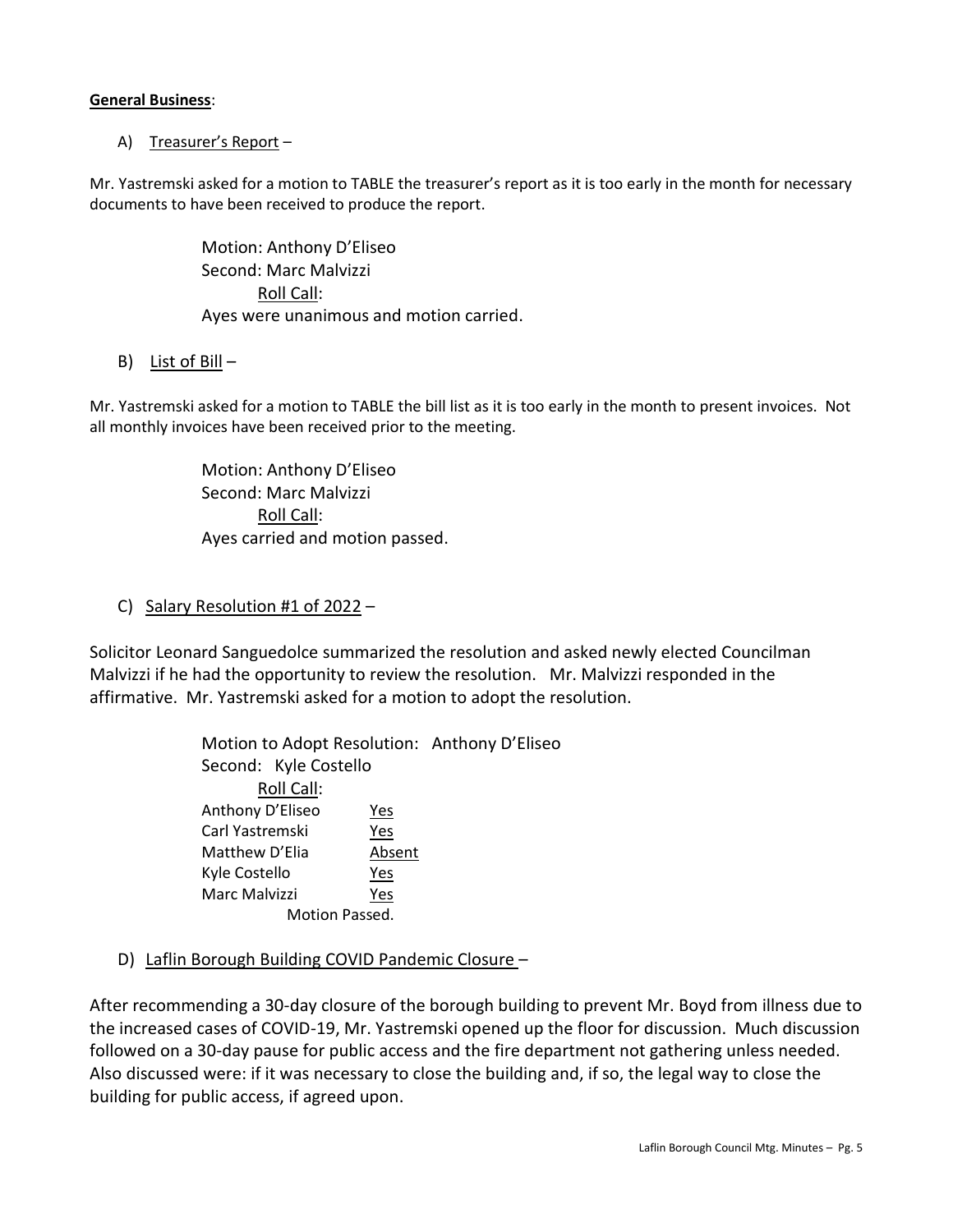#### **General Business**:

## A) Treasurer's Report –

Mr. Yastremski asked for a motion to TABLE the treasurer's report as it is too early in the month for necessary documents to have been received to produce the report.

> Motion: Anthony D'Eliseo Second: Marc Malvizzi Roll Call: Ayes were unanimous and motion carried.

### B) List of Bill –

Mr. Yastremski asked for a motion to TABLE the bill list as it is too early in the month to present invoices. Not all monthly invoices have been received prior to the meeting.

> Motion: Anthony D'Eliseo Second: Marc Malvizzi Roll Call: Ayes carried and motion passed.

## C) Salary Resolution #1 of  $2022 -$

Solicitor Leonard Sanguedolce summarized the resolution and asked newly elected Councilman Malvizzi if he had the opportunity to review the resolution. Mr. Malvizzi responded in the affirmative. Mr. Yastremski asked for a motion to adopt the resolution.

> Motion to Adopt Resolution: Anthony D'Eliseo Second: Kyle Costello Roll Call: Anthony D'Eliseo Yes Carl Yastremski Yes Matthew D'Elia Absent Kyle Costello Yes Marc Malvizzi Yes Motion Passed.

D) Laflin Borough Building COVID Pandemic Closure –

After recommending a 30-day closure of the borough building to prevent Mr. Boyd from illness due to the increased cases of COVID-19, Mr. Yastremski opened up the floor for discussion. Much discussion followed on a 30-day pause for public access and the fire department not gathering unless needed. Also discussed were: if it was necessary to close the building and, if so, the legal way to close the building for public access, if agreed upon.